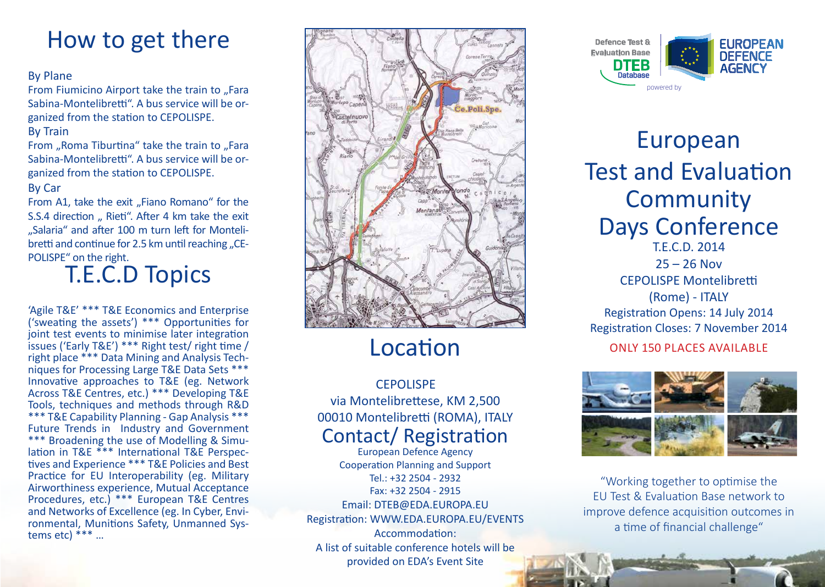## How to get there

#### By Plane

From Fiumicino Airport take the train to "Fara Sabina-Montelibretti". A bus service will be organized from the station to CEPOLISPE. By Train

From "Roma Tiburtina" take the train to "Fara Sabina-Montelibretti". A bus service will be organized from the station to CEPOLISPE.

#### By Car

From A1, take the exit "Fiano Romano" for the S.S.4 direction " Rieti". After 4 km take the exit ...Salaria" and after 100 m turn left for Montelibretti and continue for 2.5 km until reaching "CE-POLISPE" on the right.

## T.E.C.D Topics

'Agile T&E' \*\*\* T&E Economics and Enterprise ('sweating the assets') \*\*\* Opportunities for joint test events to minimise later integration issues ('Early T&E') \*\*\* Right test/ right time /<br>right place \*\*\* Data Mining and Analysis Techniques for Processing Large T&E Data Sets \*\*\* Innovative approaches to T&E (eg. Network Across T&E Centres, etc.) \*\*\* Developing T&E Tools, techniques and methods through R&D \*\*\* T&E Capability Planning - Gap Analysis \*\*\* Future Trends in Industry and Government \*\*\* Broadening the use of Modelling & Simulation in T&E \*\*\* International T&E Perspectives and Experience \*\*\* T&E Policies and Best Practice for EU Interoperability (eg. Military Airworthiness experience, Mutual Acceptance Procedures, etc.) \*\*\* European T&E Centres<br>and Networks of Excellence (eg. In Cyber, Environmental, Munitions Safety, Unmanned Systems etc) \*\*\* …



## Location

### Contact/ Registration **CEPOLISPE** via Montelibrettese, KM 2,500 00010 Montelibretti (ROMA), ITALY

European Defence Agency Cooperation Planning and Support Tel.: +32 2504 - 2932 Fax: +32 2504 - 2915 Email: DTEB@EDA.EUROPA.EU Registration: WWW.EDA.EUROPA.EU/EVENTS Accommodation: A list of suitable conference hotels will be

provided on EDA's Event Site



### European Test and Evaluation **Community** Days Conference  $25 - 26$  Nov CEPOLISPE Montelibretti (Rome) - ITALY Registration Opens: 14 July 2014 Registration Closes: 7 November 2014

### Only 150 Places available



"Working together to optimise the EU Test & Evaluation Base network to improve defence acquisition outcomes in a time of financial challenge"